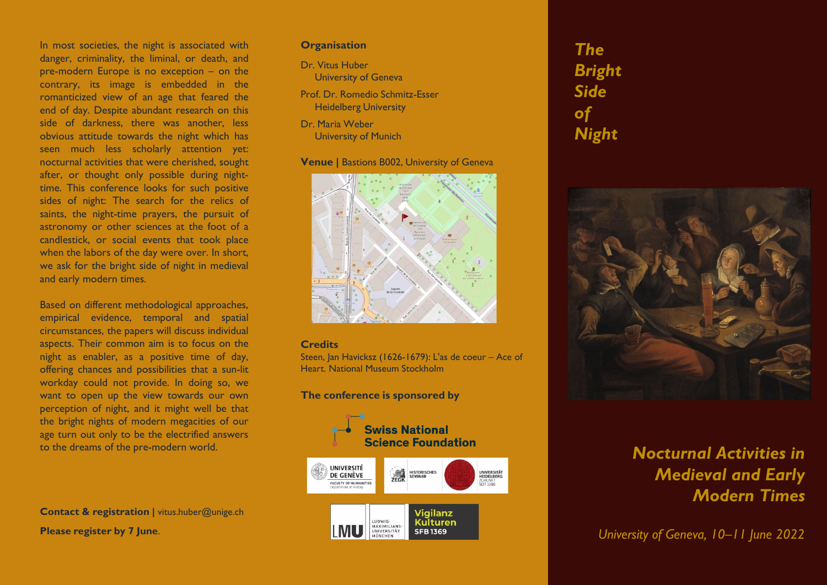In most societies, the night is associated with danger, criminality, the liminal, or death, and pre-modern Europe is no exception – on the contrary, its image is embedded in the romanticized view of an age that feared the end of day. Despite abundant research on this side of darkness, there was another, less obvious attitude towards the night which has seen much less scholarly attention yet: nocturnal activities that were cherished, sought after, or thought only possible during nighttime. This conference looks for such positive sides of night: The search for the relics of saints, the night-time prayers, the pursuit of astronomy or other sciences at the foot of a candlestick, or social events that took place when the labors of the day were over. In short, we ask for the bright side of night in medieval and early modern times.

Based on different methodological approaches, empirical evidence, temporal and spatial circumstances, the papers will discuss individual aspects. Their common aim is to focus on the night as enabler, as a positive time of day, offering chances and possibilities that a sun-lit workday could not provide. In doing so, we want to open up the view towards our own perception of night, and it might well be that the bright nights of modern megacities of our age turn out only to be the electrified answers to the dreams of the pre-modern world.

**Contact & registration |** vitus.huber@unige.ch **Please register by 7 June**.

#### **Organisation**

- Dr. Vitus Huber University of Geneva
- Prof. Dr. Romedio Schmitz-Esser Heidelberg University
- Dr. Maria Weber University of Munich

#### **Venue |** Bastions B002, University of Geneva



#### **Credits**

Steen, Jan Havicksz (1626-1679): L'as de coeur – Ace of Heart. National Museum Stockholm

**The conference is sponsored by**



*The Bright Side of Night*



# *Nocturnal Activities in Medieval and Early Modern Times*

*University of Geneva, 10–11 June 2022*